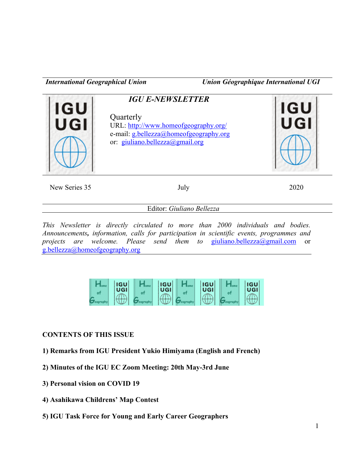*International Geographical Union Union Géographique International UGI*



New Series 35 July 2020

Editor: *Giuliano Bellezza*

*This Newsletter is directly circulated to more than 2000 individuals and bodies. Announcements, information, calls for participation in scientific events, programmes and projects are welcome. Please send them to giuliano.bellezza@gmail.com or* g.bellezza@homeofgeography.org

| <b>IGU</b><br>$\sqrt{UGI'}$ | <b>IGU</b><br>UGI | <b>IGU</b><br>UGI | <b>IGU</b><br>UGI |
|-----------------------------|-------------------|-------------------|-------------------|
|                             |                   |                   |                   |

## **CONTENTS OF THIS ISSUE**

- **1) Remarks from IGU President Yukio Himiyama (English and French)**
- **2) Minutes of the IGU EC Zoom Meeting: 20th May-3rd June**
- **3) Personal vision on COVID 19**
- **4) Asahikawa Childrens' Map Contest**
- **5) IGU Task Force for Young and Early Career Geographers**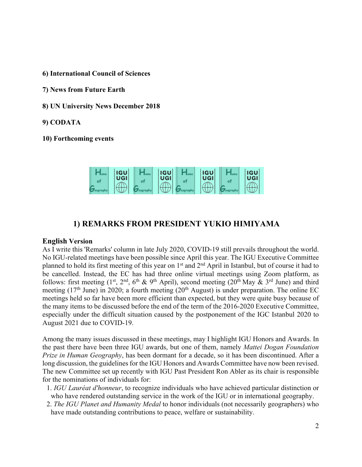**6) International Council of Sciences**

- **7) News from Future Earth**
- **8) UN University News December 2018**
- **9) CODATA**
- **10) Forthcoming events**



## **1) REMARKS FROM PRESIDENT YUKIO HIMIYAMA**

#### **English Version**

As I write this 'Remarks' column in late July 2020, COVID-19 still prevails throughout the world. No IGU-related meetings have been possible since April this year. The IGU Executive Committee planned to hold its first meeting of this year on 1<sup>st</sup> and 2<sup>nd</sup> April in Istanbul, but of course it had to be cancelled. Instead, the EC has had three online virtual meetings using Zoom platform, as follows: first meeting  $(1^{st}, 2^{nd}, 6^{th} \& 9^{th}$  April), second meeting  $(20^{th}$  May  $\& 3^{rd}$  June) and third meeting  $(17<sup>th</sup>$  June) in 2020; a fourth meeting  $(20<sup>th</sup>$  August) is under preparation. The online EC meetings held so far have been more efficient than expected, but they were quite busy because of the many items to be discussed before the end of the term of the 2016-2020 Executive Committee, especially under the difficult situation caused by the postponement of the IGC Istanbul 2020 to August 2021 due to COVID-19.

Among the many issues discussed in these meetings, may I highlight IGU Honors and Awards. In the past there have been three IGU awards, but one of them, namely *Mattei Dogan Foundation Prize in Human Geography*, has been dormant for a decade, so it has been discontinued. After a long discussion, the guidelines for the IGU Honors and Awards Committee have now been revised. The new Committee set up recently with IGU Past President Ron Abler as its chair is responsible for the nominations of individuals for:

- 1. *IGU Lauréat d'honneur*, to recognize individuals who have achieved particular distinction or who have rendered outstanding service in the work of the IGU or in international geography.
- 2. *The IGU Planet and Humanity Medal* to honor individuals (not necessarily geographers) who have made outstanding contributions to peace, welfare or sustainability.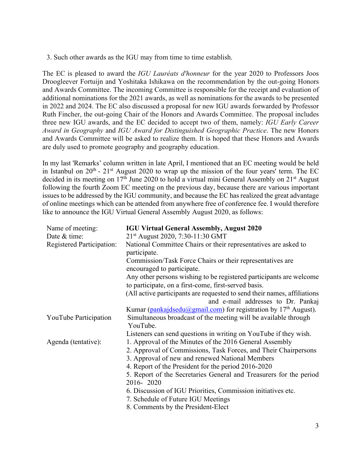3. Such other awards as the IGU may from time to time establish.

The EC is pleased to award the *IGU Lauréats d'honneur* for the year 2020 to Professors Joos Droogleever Fortuijn and Yoshitaka Ishikawa on the recommendation by the out-going Honors and Awards Committee. The incoming Committee is responsible for the receipt and evaluation of additional nominations for the 2021 awards, as well as nominations for the awards to be presented in 2022 and 2024. The EC also discussed a proposal for new IGU awards forwarded by Professor Ruth Fincher, the out-going Chair of the Honors and Awards Committee. The proposal includes three new IGU awards, and the EC decided to accept two of them, namely: *IGU Early Career Award in Geography* and *IGU Award for Distinguished Geographic Practice*. The new Honors and Awards Committee will be asked to realize them. It is hoped that these Honors and Awards are duly used to promote geography and geography education.

In my last 'Remarks' column written in late April, I mentioned that an EC meeting would be held in Istanbul on  $20^{th}$  -  $21^{st}$  August 2020 to wrap up the mission of the four years' term. The EC decided in its meeting on  $17<sup>th</sup>$  June 2020 to hold a virtual mini General Assembly on  $21<sup>st</sup>$  August following the fourth Zoom EC meeting on the previous day, because there are various important issues to be addressed by the IGU community, and because the EC has realized the great advantage of online meetings which can be attended from anywhere free of conference fee. I would therefore like to announce the IGU Virtual General Assembly August 2020, as follows:

| Name of meeting:                 | <b>IGU Virtual General Assembly, August 2020</b>                                        |  |  |  |  |
|----------------------------------|-----------------------------------------------------------------------------------------|--|--|--|--|
| Date & time:                     | 21 <sup>st</sup> August 2020, 7:30-11:30 GMT                                            |  |  |  |  |
| <b>Registered Participation:</b> | National Committee Chairs or their representatives are asked to<br>participate.         |  |  |  |  |
|                                  | Commission/Task Force Chairs or their representatives are<br>encouraged to participate. |  |  |  |  |
|                                  | Any other persons wishing to be registered participants are welcome                     |  |  |  |  |
|                                  | to participate, on a first-come, first-served basis.                                    |  |  |  |  |
|                                  | (All active participants are requested to send their names, affiliations                |  |  |  |  |
|                                  | and e-mail addresses to Dr. Pankaj                                                      |  |  |  |  |
|                                  | Kumar (pankajdsedu@gmail.com) for registration by 17 <sup>th</sup> August).             |  |  |  |  |
| YouTube Participation            | Simultaneous broadcast of the meeting will be available through                         |  |  |  |  |
|                                  | YouTube.                                                                                |  |  |  |  |
|                                  | Listeners can send questions in writing on YouTube if they wish.                        |  |  |  |  |
| Agenda (tentative):              | 1. Approval of the Minutes of the 2016 General Assembly                                 |  |  |  |  |
|                                  | 2. Approval of Commissions, Task Forces, and Their Chairpersons                         |  |  |  |  |
|                                  | 3. Approval of new and renewed National Members                                         |  |  |  |  |
|                                  | 4. Report of the President for the period 2016-2020                                     |  |  |  |  |
|                                  | 5. Report of the Secretaries General and Treasurers for the period                      |  |  |  |  |
|                                  | 2016-2020                                                                               |  |  |  |  |
|                                  | 6. Discussion of IGU Priorities, Commission initiatives etc.                            |  |  |  |  |
|                                  | 7. Schedule of Future IGU Meetings                                                      |  |  |  |  |
|                                  | 8. Comments by the President-Elect                                                      |  |  |  |  |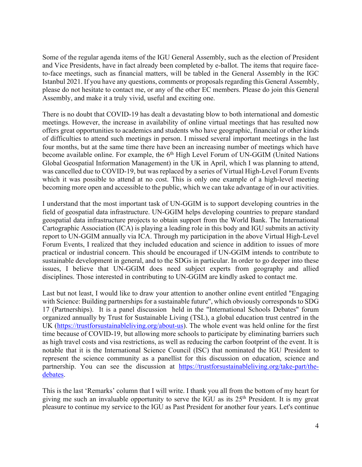Some of the regular agenda items of the IGU General Assembly, such as the election of President and Vice Presidents, have in fact already been completed by e-ballot. The items that require faceto-face meetings, such as financial matters, will be tabled in the General Assembly in the IGC Istanbul 2021. If you have any questions, comments or proposals regarding this General Assembly, please do not hesitate to contact me, or any of the other EC members. Please do join this General Assembly, and make it a truly vivid, useful and exciting one.

There is no doubt that COVID-19 has dealt a devastating blow to both international and domestic meetings. However, the increase in availability of online virtual meetings that has resulted now offers great opportunities to academics and students who have geographic, financial or other kinds of difficulties to attend such meetings in person. I missed several important meetings in the last four months, but at the same time there have been an increasing number of meetings which have become available online. For example, the 6<sup>th</sup> High Level Forum of UN-GGIM (United Nations Global Geospatial Information Management) in the UK in April, which I was planning to attend, was cancelled due to COVID-19, but was replaced by a series of Virtual High-Level Forum Events which it was possible to attend at no cost. This is only one example of a high-level meeting becoming more open and accessible to the public, which we can take advantage of in our activities.

I understand that the most important task of UN-GGIM is to support developing countries in the field of geospatial data infrastructure. UN-GGIM helps developing countries to prepare standard geospatial data infrastructure projects to obtain support from the World Bank. The International Cartographic Association (ICA) is playing a leading role in this body and IGU submits an activity report to UN-GGIM annually via ICA. Through my participation in the above Virtual High-Level Forum Events, I realized that they included education and science in addition to issues of more practical or industrial concern. This should be encouraged if UN-GGIM intends to contribute to sustainable development in general, and to the SDGs in particular. In order to go deeper into these issues, I believe that UN-GGIM does need subject experts from geography and allied disciplines. Those interested in contributing to UN-GGIM are kindly asked to contact me.

Last but not least, I would like to draw your attention to another online event entitled "Engaging with Science: Building partnerships for a sustainable future", which obviously corresponds to SDG 17 (Partnerships). It is a panel discussion held in the "International Schools Debates" forum organized annually by Trust for Sustainable Living (TSL), a global education trust centred in the UK (https://trustforsustainableliving.org/about-us). The whole event was held online for the first time because of COVID-19, but allowing more schools to participate by eliminating barriers such as high travel costs and visa restrictions, as well as reducing the carbon footprint of the event. It is notable that it is the International Science Council (ISC) that nominated the IGU President to represent the science community as a panellist for this discussion on education, science and partnership. You can see the discussion at https://trustforsustainableliving.org/take-part/thedebates.

This is the last 'Remarks' column that I will write. I thank you all from the bottom of my heart for giving me such an invaluable opportunity to serve the IGU as its 25th President. It is my great pleasure to continue my service to the IGU as Past President for another four years. Let's continue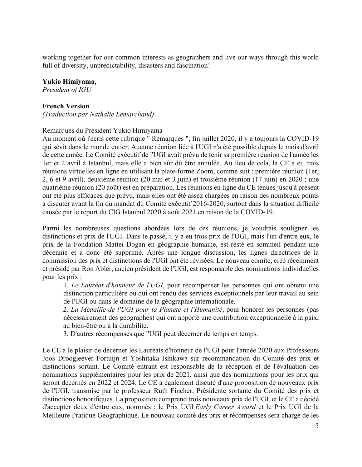working together for our common interests as geographers and live our ways through this world full of diversity, unpredictability, disasters and fascination!

#### **Yukio Himiyama,**

*President of IGU*

#### **French Version**

*(Traduction par Nathalie Lemarchand)*

#### Remarques du Président Yukio Himiyama

Au moment où j'écris cette rubrique " Remarques ", fin juillet 2020, il y a toujours la COVID-19 qui sévit dans le monde entier. Aucune réunion liée à l'UGI n'a été possible depuis le mois d'avril de cette année. Le Comité exécutif de l'UGI avait prévu de tenir sa première réunion de l'année les 1er et 2 avril à Istanbul, mais elle a bien sûr dû être annulée. Au lieu de cela, la CE a eu trois réunions virtuelles en ligne en utilisant la plate-forme Zoom, comme suit : première réunion (1er, 2, 6 et 9 avril), deuxième réunion (20 mai et 3 juin) et troisième réunion (17 juin) en 2020 ; une quatrième réunion (20 août) est en préparation. Les réunions en ligne du CE tenues jusqu'à présent ont été plus efficaces que prévu, mais elles ont été assez chargées en raison des nombreux points à discuter avant la fin du mandat du Comité exécutif 2016-2020, surtout dans la situation difficile causée par le report du CIG Istanbul 2020 à août 2021 en raison de la COVID-19.

Parmi les nombreuses questions abordées lors de ces réunions, je voudrais souligner les distinctions et prix de l'UGI. Dans le passé, il y a eu trois prix de l'UGI, mais l'un d'entre eux, le prix de la Fondation Mattei Dogan en géographie humaine, est resté en sommeil pendant une décennie et a donc été supprimé. Après une longue discussion, les lignes directrices de la commission des prix et distinctions de l'UGI ont été révisées. Le nouveau comité, créé récemment et présidé par Ron Abler, ancien président de l'UGI, est responsable des nominations individuelles pour les prix :

1. *Le Lauréat d'honneur de l'UGI*, pour récompenser les personnes qui ont obtenu une distinction particulière ou qui ont rendu des services exceptionnels par leur travail au sein de l'UGI ou dans le domaine de la géographie internationale.

2. *La Médaille de l'UGI pour la Planète et l'Humanité*, pour honorer les personnes (pas nécessairement des géographes) qui ont apporté une contribution exceptionnelle à la paix, au bien-être ou à la durabilité.

3. D'autres récompenses que l'UGI peut décerner de temps en temps.

Le CE a le plaisir de décerner les Lauréats d'honneur de l'UGI pour l'année 2020 aux Professeurs Joos Droogleever Fortuijn et Yoshitaka Ishikawa sur recommandation du Comité des prix et distinctions sortant. Le Comité entrant est responsable de la réception et de l'évaluation des nominations supplémentaires pour les prix de 2021, ainsi que des nominations pour les prix qui seront décernés en 2022 et 2024. Le CE a également discuté d'une proposition de nouveaux prix de l'UGI, transmise par le professeur Ruth Fincher, Présidente sortante du Comité des prix et distinctions honorifiques. La proposition comprend trois nouveaux prix de l'UGI, et le CE a décidé d'accepter deux d'entre eux, nommés : le Prix UGI *Early Career Award* et le Prix UGI de la Meilleure Pratique Géographique. Le nouveau comité des prix et récompenses sera chargé de les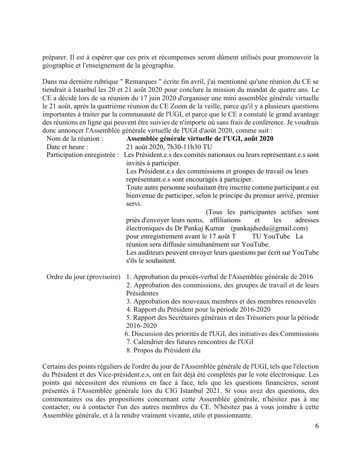préparer. Il est à espérer que ces prix et récompenses seront dûment utilisés pour promouvoir la géographie et l'enseignement de la géographie.

Dans ma dernière rubrique " Remarques " écrite fin avril, j'ai mentionné qu'une réunion du CE se tiendrait à Istanbul les 20 et 21 août 2020 pour conclure la mission du mandat de quatre ans. Le CE a décidé lors de sa réunion du 17 juin 2020 d'organiser une mini assemblée générale virtuelle le 21 août, après la quatrième réunion du CE Zoom de la veille, parce qu'il y a plusieurs questions importantes à traiter par la communauté de l'UGI, et parce que le CE a constaté le grand avantage des réunions en ligne qui peuvent être suivies de n'importe où sans frais de conférence. Je voudrais donc annoncer l'Assemblée générale virtuelle de l'UGI d'août 2020, comme suit :

| Nom de la réunion :                                                   | Assemblée générale virtuelle de l'UGI, août 2020                                                     |  |  |  |  |
|-----------------------------------------------------------------------|------------------------------------------------------------------------------------------------------|--|--|--|--|
| Date et heure :                                                       | 21 août 2020, 7h30-11h30 TU                                                                          |  |  |  |  |
|                                                                       | Participation enregistrée : Les Président et s des comités nationaux ou leurs représentant et s sont |  |  |  |  |
|                                                                       | invités à participer.                                                                                |  |  |  |  |
|                                                                       | Les Président.e.s des commissions et groupes de travail ou leurs                                     |  |  |  |  |
|                                                                       | représentant.e.s sont encouragés à participer.                                                       |  |  |  |  |
|                                                                       | Toute autre personne souhaitant être inscrite comme participant.e est                                |  |  |  |  |
|                                                                       | bienvenue de participer, selon le principe du premier arrivé, premier<br>servi.                      |  |  |  |  |
|                                                                       | (Tous les participantes actifses sont                                                                |  |  |  |  |
|                                                                       | priés d'envoyer leurs noms, affiliations<br>et les<br>adresses                                       |  |  |  |  |
|                                                                       | électroniques du Dr Pankaj Kumar (pankajdsedu@gmail.com)                                             |  |  |  |  |
|                                                                       | pour enregistrement avant le 17 août T TU YouTube La                                                 |  |  |  |  |
|                                                                       | réunion sera diffusée simultanément sur YouTube.                                                     |  |  |  |  |
|                                                                       | Les auditeurs peuvent envoyer leurs questions par écrit sur YouTube<br>s'ils le souhaitent.          |  |  |  |  |
| Ordre du jour (provisoire)                                            | 1. Approbation du procès-verbal de l'Assemblée générale de 2016                                      |  |  |  |  |
|                                                                       | 2. Approbation des commissions, des groupes de travail et de leurs<br>Présidentes                    |  |  |  |  |
|                                                                       | 3. Approbation des nouveaux membres et des membres renouvelés                                        |  |  |  |  |
| 4. Rapport du Président pour la période 2016-2020                     |                                                                                                      |  |  |  |  |
| 5. Rapport des Secrétaires généraux et des Trésoriers pour la période |                                                                                                      |  |  |  |  |
| 2016-2020                                                             |                                                                                                      |  |  |  |  |
| 6. Discussion des priorités de l'UGI, des initiatives des Commissions |                                                                                                      |  |  |  |  |
| 7. Calendrier des futures rencontres de l'UGI                         |                                                                                                      |  |  |  |  |
|                                                                       | 8. Propos du Président élu                                                                           |  |  |  |  |

Certains des points réguliers de l'ordre du jour de l'Assemblée générale de l'UGI, tels que l'élection du Président et des Vice-président.e.s, ont en fait déjà été complétés par le vote électronique. Les points qui nécessitent des réunions en face à face, tels que les questions financières, seront présentés à l'Assemblée générale lors du CIG Istanbul 2021. Si vous avez des questions, des commentaires ou des propositions concernant cette Assemblée générale, n'hésitez pas à me contacter, ou à contacter l'un des autres membres du CE. N'hésitez pas à vous joindre à cette Assemblée générale, et à la rendre vraiment vivante, utile et passionnante.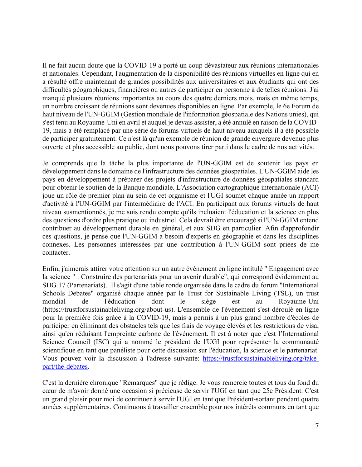Il ne fait aucun doute que la COVID-19 a porté un coup dévastateur aux réunions internationales et nationales. Cependant, l'augmentation de la disponibilité des réunions virtuelles en ligne qui en a résulté offre maintenant de grandes possibilités aux universitaires et aux étudiants qui ont des difficultés géographiques, financières ou autres de participer en personne à de telles réunions. J'ai manqué plusieurs réunions importantes au cours des quatre derniers mois, mais en même temps, un nombre croissant de réunions sont devenues disponibles en ligne. Par exemple, le 6e Forum de haut niveau de l'UN-GGIM (Gestion mondiale de l'information géospatiale des Nations unies), qui s'est tenu au Royaume-Uni en avril et auquel je devais assister, a été annulé en raison de la COVID-19, mais a été remplacé par une série de forums virtuels de haut niveau auxquels il a été possible de participer gratuitement. Ce n'est là qu'un exemple de réunion de grande envergure devenue plus ouverte et plus accessible au public, dont nous pouvons tirer parti dans le cadre de nos activités.

Je comprends que la tâche la plus importante de l'UN-GGIM est de soutenir les pays en développement dans le domaine de l'infrastructure des données géospatiales. L'UN-GGIM aide les pays en développement à préparer des projets d'infrastructure de données géospatiales standard pour obtenir le soutien de la Banque mondiale. L'Association cartographique internationale (ACI) joue un rôle de premier plan au sein de cet organisme et l'UGI soumet chaque année un rapport d'activité à l'UN-GGIM par l'intermédiaire de l'ACI. En participant aux forums virtuels de haut niveau susmentionnés, je me suis rendu compte qu'ils incluaient l'éducation et la science en plus des questions d'ordre plus pratique ou industriel. Cela devrait être encouragé si l'UN-GGIM entend contribuer au développement durable en général, et aux SDG en particulier. Afin d'approfondir ces questions, je pense que l'UN-GGIM a besoin d'experts en géographie et dans les disciplines connexes. Les personnes intéressées par une contribution à l'UN-GGIM sont priées de me contacter.

Enfin, j'aimerais attirer votre attention sur un autre événement en ligne intitulé " Engagement avec la science " : Construire des partenariats pour un avenir durable", qui correspond évidemment au SDG 17 (Partenariats). Il s'agit d'une table ronde organisée dans le cadre du forum "International Schools Debates" organisé chaque année par le Trust for Sustainable Living (TSL), un trust mondial de l'éducation dont le siège est au Royaume-Uni (https://trustforsustainableliving.org/about-us). L'ensemble de l'événement s'est déroulé en ligne pour la première fois grâce à la COVID-19, mais a permis à un plus grand nombre d'écoles de participer en éliminant des obstacles tels que les frais de voyage élevés et les restrictions de visa, ainsi qu'en réduisant l'empreinte carbone de l'événement. Il est à noter que c'est l'International Science Council (ISC) qui a nommé le président de l'UGI pour représenter la communauté scientifique en tant que panéliste pour cette discussion sur l'éducation, la science et le partenariat. Vous pouvez voir la discussion à l'adresse suivante: https://trustforsustainableliving.org/takepart/the-debates.

C'est la dernière chronique "Remarques" que je rédige. Je vous remercie toutes et tous du fond du cœur de m'avoir donné une occasion si précieuse de servir l'UGI en tant que 25e Président. C'est un grand plaisir pour moi de continuer à servir l'UGI en tant que Président-sortant pendant quatre années supplémentaires. Continuons à travailler ensemble pour nos intérêts communs en tant que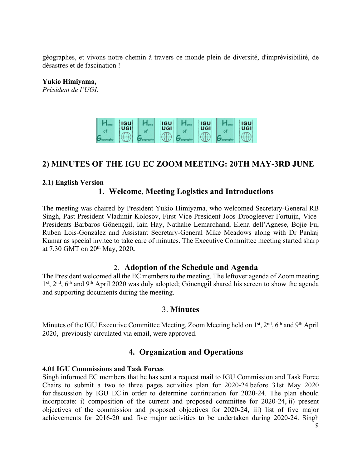géographes, et vivons notre chemin à travers ce monde plein de diversité, d'imprévisibilité, de désastres et de fascination !

**Yukio Himiyama,**

*Président de l'UGI.*



## **2) MINUTES OF THE IGU EC ZOOM MEETING: 20TH MAY-3RD JUNE**

#### **2.1) English Version**

## **1. Welcome, Meeting Logistics and Introductions**

The meeting was chaired by President Yukio Himiyama, who welcomed Secretary-General RB Singh, Past-President Vladimir Kolosov, First Vice-President Joos Droogleever-Fortuijn, Vice-Presidents Barbaros Gönençgil, Iain Hay, Nathalie Lemarchand, Elena dell'Agnese, Bojie Fu, Ruben Lois-González and Assistant Secretary-General Mike Meadows along with Dr Pankaj Kumar as special invitee to take care of minutes. The Executive Committee meeting started sharp at 7.30 GMT on 20th May, 2020**.** 

#### 2. **Adoption of the Schedule and Agenda**

The President welcomed all the EC members to the meeting. The leftover agenda of Zoom meeting 1st, 2<sup>nd</sup>, 6<sup>th</sup> and 9<sup>th</sup> April 2020 was duly adopted; Gönençgil shared his screen to show the agenda and supporting documents during the meeting.

#### 3. **Minutes**

Minutes of the IGU Executive Committee Meeting, Zoom Meeting held on 1<sup>st</sup>, 2<sup>nd</sup>, 6<sup>th</sup> and 9<sup>th</sup> April 2020, previously circulated via email, were approved.

## **4. Organization and Operations**

#### **4.01 IGU Commissions and Task Forces**

Singh informed EC members that he has sent a request mail to IGU Commission and Task Force Chairs to submit a two to three pages activities plan for 2020-24 before 31st May 2020 for discussion by IGU EC in order to determine continuation for 2020-24. The plan should incorporate: i) composition of the current and proposed committee for 2020-24, ii) present objectives of the commission and proposed objectives for 2020-24, iii) list of five major achievements for 2016-20 and five major activities to be undertaken during 2020-24. Singh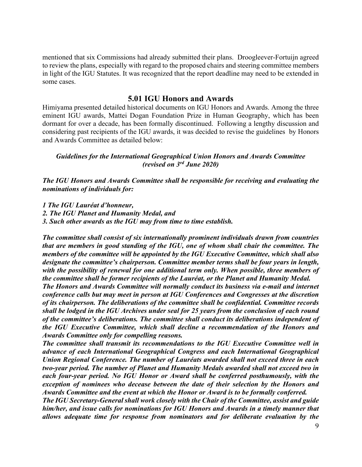mentioned that six Commissions had already submitted their plans. Droogleever-Fortuijn agreed to review the plans, especially with regard to the proposed chairs and steering committee members in light of the IGU Statutes. It was recognized that the report deadline may need to be extended in some cases.

#### **5.01 IGU Honors and Awards**

Himiyama presented detailed historical documents on IGU Honors and Awards. Among the three eminent IGU awards, Mattei Dogan Foundation Prize in Human Geography, which has been dormant for over a decade, has been formally discontinued. Following a lengthy discussion and considering past recipients of the IGU awards, it was decided to revise the guidelines by Honors and Awards Committee as detailed below:

#### *Guidelines for the International Geographical Union Honors and Awards Committee (revised on 3rd June 2020)*

*The IGU Honors and Awards Committee shall be responsible for receiving and evaluating the nominations of individuals for:*

*1 The IGU Lauréat d'honneur,*

*2. The IGU Planet and Humanity Medal, and*

*3. Such other awards as the IGU may from time to time establish.*

*The committee shall consist of six internationally prominent individuals drawn from countries that are members in good standing of the IGU, one of whom shall chair the committee. The members of the committee will be appointed by the IGU Executive Committee, which shall also designate the committee's chairperson. Committee member terms shall be four years in length, with the possibility of renewal for one additional term only. When possible, three members of the committee shall be former recipients of the Lauréat, or the Planet and Humanity Medal.* 

*The Honors and Awards Committee will normally conduct its business via e-mail and internet conference calls but may meet in person at IGU Conferences and Congresses at the discretion of its chairperson. The deliberations of the committee shall be confidential. Committee records shall be lodged in the IGU Archives under seal for 25 years from the conclusion of each round of the committee's deliberations. The committee shall conduct its deliberations independent of the IGU Executive Committee, which shall decline a recommendation of the Honors and Awards Committee only for compelling reasons.*

*The committee shall transmit its recommendations to the IGU Executive Committee well in advance of each International Geographical Congress and each International Geographical Union Regional Conference. The number of Lauréats awarded shall not exceed three in each two-year period. The number of Planet and Humanity Medals awarded shall not exceed two in each four-year period. No IGU Honor or Award shall be conferred posthumously, with the exception of nominees who decease between the date of their selection by the Honors and Awards Committee and the event at which the Honor or Award is to be formally conferred.*

*The IGU Secretary-General shall work closely with the Chair of the Committee, assist and guide him/her, and issue calls for nominations for IGU Honors and Awards in a timely manner that allows adequate time for response from nominators and for deliberate evaluation by the*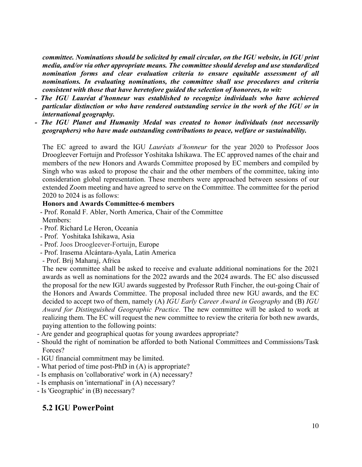*committee. Nominations should be solicited by email circular, on the IGU website, in IGU print media, and/or via other appropriate means. The committee should develop and use standardized nomination forms and clear evaluation criteria to ensure equitable assessment of all nominations. In evaluating nominations, the committee shall use procedures and criteria consistent with those that have heretofore guided the selection of honorees, to wit:*

- *- The IGU Lauréat d'honneur was established to recognize individuals who have achieved particular distinction or who have rendered outstanding service in the work of the IGU or in international geography.*
- *- The IGU Planet and Humanity Medal was created to honor individuals (not necessarily geographers) who have made outstanding contributions to peace, welfare or sustainability.*

The EC agreed to award the IGU *Lauréats d'honneur* for the year 2020 to Professor Joos Droogleever Fortuijn and Professor Yoshitaka Ishikawa. The EC approved names of the chair and members of the new Honors and Awards Committee proposed by EC members and compiled by Singh who was asked to propose the chair and the other members of the committee, taking into consideration global representation. These members were approached between sessions of our extended Zoom meeting and have agreed to serve on the Committee. The committee for the period 2020 to 2024 is as follows:

#### **Honors and Awards Committee-6 members**

- Prof. Ronald F. Abler, North America, Chair of the Committee

- Members:
- Prof. Richard Le Heron, Oceania
- Prof. Yoshitaka Ishikawa, Asia
- Prof. Joos Droogleever-Fortuijn, Europe
- Prof. Irasema Alcántara-Ayala, Latin America
- Prof. Brij Maharaj, Africa

The new committee shall be asked to receive and evaluate additional nominations for the 2021 awards as well as nominations for the 2022 awards and the 2024 awards. The EC also discussed the proposal for the new IGU awards suggested by Professor Ruth Fincher, the out-going Chair of the Honors and Awards Committee. The proposal included three new IGU awards, and the EC decided to accept two of them, namely (A) *IGU Early Career Award in Geography* and (B) *IGU Award for Distinguished Geographic Practice*. The new committee will be asked to work at realizing them. The EC will request the new committee to review the criteria for both new awards, paying attention to the following points:

- Are gender and geographical quotas for young awardees appropriate?
- Should the right of nomination be afforded to both National Committees and Commissions/Task Forces?
- IGU financial commitment may be limited.
- What period of time post-PhD in (A) is appropriate?
- Is emphasis on 'collaborative' work in (A) necessary?
- Is emphasis on 'international' in (A) necessary?
- Is 'Geographic' in (B) necessary?

# **5.2 IGU PowerPoint**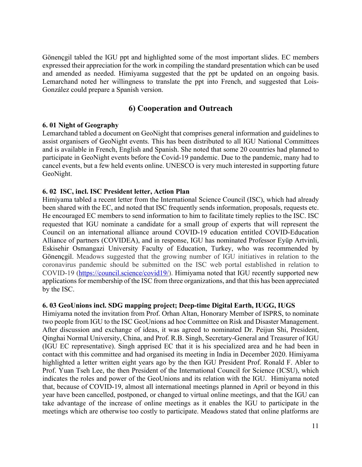Gönençgil tabled the IGU ppt and highlighted some of the most important slides. EC members expressed their appreciation for the work in compiling the standard presentation which can be used and amended as needed. Himiyama suggested that the ppt be updated on an ongoing basis. Lemarchand noted her willingness to translate the ppt into French, and suggested that Lois-González could prepare a Spanish version.

## **6) Cooperation and Outreach**

#### **6. 01 Night of Geography**

Lemarchand tabled a document on GeoNight that comprises general information and guidelines to assist organisers of GeoNight events. This has been distributed to all IGU National Committees and is available in French, English and Spanish. She noted that some 20 countries had planned to participate in GeoNight events before the Covid-19 pandemic. Due to the pandemic, many had to cancel events, but a few held events online. UNESCO is very much interested in supporting future GeoNight.

#### **6. 02 ISC, incl. ISC President letter, Action Plan**

Himiyama tabled a recent letter from the International Science Council (ISC), which had already been shared with the EC, and noted that ISC frequently sends information, proposals, requests etc. He encouraged EC members to send information to him to facilitate timely replies to the ISC. ISC requested that IGU nominate a candidate for a small group of experts that will represent the Council on an international alliance around COVID-19 education entitled COVID-Education Alliance of partners (COVIDEA), and in response, IGU has nominated Professor Eyüp Artvinli, Eskisehir Osmangazi University Faculty of Education, Turkey, who was recommended by Gönençgil. Meadows suggested that the growing number of IGU initiatives in relation to the coronavirus pandemic should be submitted on the ISC web portal established in relation to COVID-19 (https://council.science/covid19/). Himiyama noted that IGU recently supported new applications for membership of the ISC from three organizations, and that this has been appreciated by the ISC.

#### **6. 03 GeoUnions incl. SDG mapping project; Deep-time Digital Earth, IUGG, IUGS**

Himiyama noted the invitation from Prof. Orhan Altan, Honorary Member of ISPRS, to nominate two people from IGU to the ISC GeoUnions ad hoc Committee on Risk and Disaster Management. After discussion and exchange of ideas, it was agreed to nominated Dr. Peijun Shi, President, Qinghai Normal University, China, and Prof. R.B. Singh, Secretary-General and Treasurer of IGU (IGU EC representative). Singh apprised EC that it is his specialized area and he had been in contact with this committee and had organised its meeting in India in December 2020. Himiyama highlighted a letter written eight years ago by the then IGU President Prof. Ronald F. Abler to Prof. Yuan Tseh Lee, the then President of the International Council for Science (ICSU), which indicates the roles and power of the GeoUnions and its relation with the IGU. Himiyama noted that, because of COVID-19, almost all international meetings planned in April or beyond in this year have been cancelled, postponed, or changed to virtual online meetings, and that the IGU can take advantage of the increase of online meetings as it enables the IGU to participate in the meetings which are otherwise too costly to participate. Meadows stated that online platforms are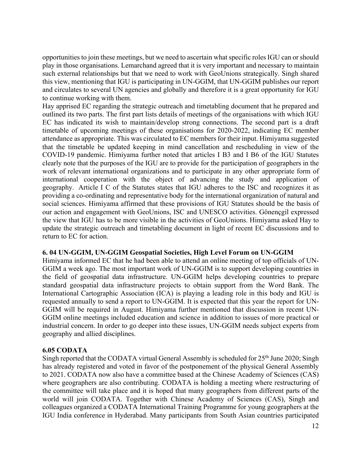opportunities to join these meetings, but we need to ascertain what specific roles IGU can or should play in those organisations. Lemarchand agreed that it is very important and necessary to maintain such external relationships but that we need to work with GeoUnions strategically. Singh shared this view, mentioning that IGU is participating in UN-GGIM, that UN-GGIM publishes our report and circulates to several UN agencies and globally and therefore it is a great opportunity for IGU to continue working with them.

Hay apprised EC regarding the strategic outreach and timetabling document that he prepared and outlined its two parts. The first part lists details of meetings of the organisations with which IGU EC has indicated its wish to maintain/develop strong connections. The second part is a draft timetable of upcoming meetings of these organisations for 2020-2022, indicating EC member attendance as appropriate. This was circulated to EC members for their input. Himiyama suggested that the timetable be updated keeping in mind cancellation and rescheduling in view of the COVID-19 pandemic. Himiyama further noted that articles I B3 and I B6 of the IGU Statutes clearly note that the purposes of the IGU are to provide for the participation of geographers in the work of relevant international organizations and to participate in any other appropriate form of international cooperation with the object of advancing the study and application of geography. Article I C of the Statutes states that IGU adheres to the ISC and recognizes it as providing a co-ordinating and representative body for the international organization of natural and social sciences. Himiyama affirmed that these provisions of IGU Statutes should be the basis of our action and engagement with GeoUnions, ISC and UNESCO activities. Gönençgil expressed the view that IGU has to be more visible in the activities of GeoUnions. Himiyama asked Hay to update the strategic outreach and timetabling document in light of recent EC discussions and to return to EC for action.

#### **6. 04 UN-GGIM, UN-GGIM Geospatial Societies, High Level Forum on UN-GGIM**

Himiyama informed EC that he had been able to attend an online meeting of top officials of UN-GGIM a week ago. The most important work of UN-GGIM is to support developing countries in the field of geospatial data infrastructure. UN-GGIM helps developing countries to prepare standard geospatial data infrastructure projects to obtain support from the Word Bank. The International Cartographic Association (ICA) is playing a leading role in this body and IGU is requested annually to send a report to UN-GGIM. It is expected that this year the report for UN-GGIM will be required in August. Himiyama further mentioned that discussion in recent UN-GGIM online meetings included education and science in addition to issues of more practical or industrial concern. In order to go deeper into these issues, UN-GGIM needs subject experts from geography and allied disciplines.

### **6.05 CODATA**

Singh reported that the CODATA virtual General Assembly is scheduled for 25<sup>th</sup> June 2020; Singh has already registered and voted in favor of the postponement of the physical General Assembly to 2021. CODATA now also have a committee based at the Chinese Academy of Sciences (CAS) where geographers are also contributing. CODATA is holding a meeting where restructuring of the committee will take place and it is hoped that many geographers from different parts of the world will join CODATA. Together with Chinese Academy of Sciences (CAS), Singh and colleagues organized a CODATA International Training Programme for young geographers at the IGU India conference in Hyderabad. Many participants from South Asian countries participated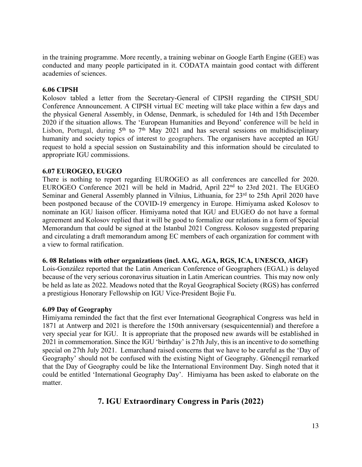in the training programme. More recently, a training webinar on Google Earth Engine (GEE) was conducted and many people participated in it. CODATA maintain good contact with different academies of sciences.

#### **6.06 CIPSH**

Kolosov tabled a letter from the Secretary-General of CIPSH regarding the CIPSH\_SDU Conference Announcement. A CIPSH virtual EC meeting will take place within a few days and the physical General Assembly, in Odense, Denmark, is scheduled for 14th and 15th December 2020 if the situation allows. The 'European Humanities and Beyond' conference will be held in Lisbon, Portugal, during  $5<sup>th</sup>$  to  $7<sup>th</sup>$  May 2021 and has several sessions on multidisciplinary humanity and society topics of interest to geographers. The organisers have accepted an IGU request to hold a special session on Sustainability and this information should be circulated to appropriate IGU commissions.

#### **6.07 EUROGEO, EUGEO**

There is nothing to report regarding EUROGEO as all conferences are cancelled for 2020. EUROGEO Conference 2021 will be held in Madrid, April 22nd to 23rd 2021. The EUGEO Seminar and General Assembly planned in Vilnius, Lithuania, for 23<sup>rd</sup> to 25th April 2020 have been postponed because of the COVID-19 emergency in Europe. Himiyama asked Kolosov to nominate an IGU liaison officer. Himiyama noted that IGU and EUGEO do not have a formal agreement and Kolosov replied that it will be good to formalize our relations in a form of Special Memorandum that could be signed at the Istanbul 2021 Congress. Kolosov suggested preparing and circulating a draft memorandum among EC members of each organization for comment with a view to formal ratification.

#### **6. 08 Relations with other organizations (incl. AAG, AGA, RGS, ICA, UNESCO, AIGF)**

Lois-González reported that the Latin American Conference of Geographers (EGAL) is delayed because of the very serious coronavirus situation in Latin American countries. This may now only be held as late as 2022. Meadows noted that the Royal Geographical Society (RGS) has conferred a prestigious Honorary Fellowship on IGU Vice-President Bojie Fu.

#### **6.09 Day of Geography**

Himiyama reminded the fact that the first ever International Geographical Congress was held in 1871 at Antwerp and 2021 is therefore the 150th anniversary (sesquicentennial) and therefore a very special year for IGU. It is appropriate that the proposed new awards will be established in 2021 in commemoration. Since the IGU 'birthday' is 27th July, this is an incentive to do something special on 27th July 2021. Lemarchand raised concerns that we have to be careful as the 'Day of Geography' should not be confused with the existing Night of Geography. Gönençgil remarked that the Day of Geography could be like the International Environment Day. Singh noted that it could be entitled 'International Geography Day'. Himiyama has been asked to elaborate on the matter.

## **7. IGU Extraordinary Congress in Paris (2022)**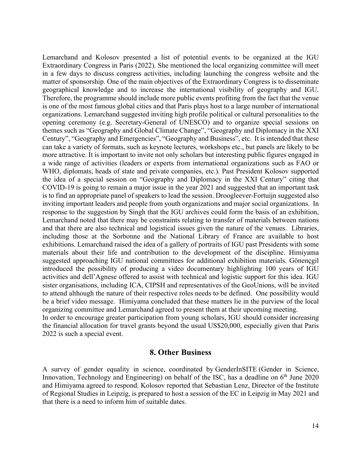Lemarchand and Kolosov presented a list of potential events to be organized at the IGU Extraordinary Congress in Paris (2022). She mentioned the local organizing committee will meet in a few days to discuss congress activities, including launching the congress website and the matter of sponsorship. One of the main objectives of the Extraordinary Congress is to disseminate geographical knowledge and to increase the international visibility of geography and IGU. Therefore, the programme should include more public events profiting from the fact that the venue is one of the most famous global cities and that Paris plays host to a large number of international organizations. Lemarchand suggested inviting high profile political or cultural personalities to the opening ceremony (e.g. Secretary-General of UNESCO) and to organize special sessions on themes such as "Geography and Global Climate Change", "Geography and Diplomacy in the XXI Century", "Geography and Emergencies", "Geography and Business", etc. It is intended that these can take a variety of formats, such as keynote lectures, workshops etc., but panels are likely to be more attractive. It is important to invite not only scholars but interesting public figures engaged in a wide range of activities (leaders or experts from international organizations such as FAO or WHO, diplomats, heads of state and private companies, etc.). Past President Kolosov supported the idea of a special session on "Geography and Diplomacy in the XXI Century" citing that COVID-19 is going to remain a major issue in the year 2021 and suggested that an important task is to find an appropriate panel of speakers to lead the session. Droogleever-Fortuijn suggested also inviting important leaders and people from youth organizations and major social organizations. In response to the suggestion by Singh that the IGU archives could form the basis of an exhibition, Lemarchand noted that there may be constraints relating to transfer of materials between nations and that there are also technical and logistical issues given the nature of the venues. Libraries, including those at the Sorbonne and the National Library of France are available to host exhibitions. Lemarchand raised the idea of a gallery of portraits of IGU past Presidents with some materials about their life and contribution to the development of the discipline. Himiyama suggested approaching IGU national committees for additional exhibition materials. Gönençgil introduced the possibility of producing a video documentary highlighting 100 years of IGU activities and dell'Agnese offered to assist with technical and logistic support for this idea. IGU sister organisations, including ICA, CIPSH and representatives of the GeoUnions, will be invited to attend although the nature of their respective roles needs to be defined. One possibility would be a brief video message. Himiyama concluded that these matters lie in the purview of the local organizing committee and Lemarchand agreed to present them at their upcoming meeting.

In order to encourage greater participation from young scholars, IGU should consider increasing the financial allocation for travel grants beyond the usual US\$20,000, especially given that Paris 2022 is such a special event.

#### **8. Other Business**

A survey of gender equality in science, coordinated by GenderInSITE (Gender in Science, Innovation, Technology and Engineering) on behalf of the ISC, has a deadline on  $6<sup>th</sup>$  June 2020 and Himiyama agreed to respond. Kolosov reported that Sebastian Lenz, Director of the Institute of Regional Studies in Leipzig, is prepared to host a session of the EC in Leipzig in May 2021 and that there is a need to inform him of suitable dates.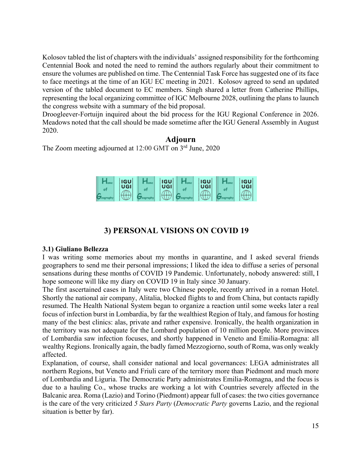Kolosov tabled the list of chapters with the individuals' assigned responsibility for the forthcoming Centennial Book and noted the need to remind the authors regularly about their commitment to ensure the volumes are published on time. The Centennial Task Force has suggested one of its face to face meetings at the time of an IGU EC meeting in 2021. Kolosov agreed to send an updated version of the tabled document to EC members. Singh shared a letter from Catherine Phillips, representing the local organizing committee of IGC Melbourne 2028, outlining the plans to launch the congress website with a summary of the bid proposal.

Droogleever-Fortuijn inquired about the bid process for the IGU Regional Conference in 2026. Meadows noted that the call should be made sometime after the IGU General Assembly in August 2020.

## **Adjourn**

The Zoom meeting adjourned at 12:00 GMT on 3<sup>rd</sup> June, 2020



## **3) PERSONAL VISIONS ON COVID 19**

#### **3.1) Giuliano Bellezza**

I was writing some memories about my months in quarantine, and I asked several friends geographers to send me their personal impressions; I liked the idea to diffuse a series of personal sensations during these months of COVID 19 Pandemic. Unfortunately, nobody answered: still, I hope someone will like my diary on COVID 19 in Italy since 30 January.

The first ascertained cases in Italy were two Chinese people, recently arrived in a roman Hotel. Shortly the national air company, Alitalia, blocked flights to and from China, but contacts rapidly resumed. The Health National System began to organize a reaction until some weeks later a real focus of infection burst in Lombardia, by far the wealthiest Region of Italy, and famous for hosting many of the best clinics: alas, private and rather expensive. Ironically, the health organization in the territory was not adequate for the Lombard population of 10 million people. More provinces of Lombardia saw infection focuses, and shortly happened in Veneto and Emilia-Romagna: all wealthy Regions. Ironically again, the badly famed Mezzogiorno, south of Roma, was only weakly affected.

Explanation, of course, shall consider national and local governances: LEGA administrates all northern Regions, but Veneto and Friuli care of the territory more than Piedmont and much more of Lombardia and Liguria. The Democratic Party administrates Emilia-Romagna, and the focus is due to a hauling Co., whose trucks are working a lot with Countries severely affected in the Balcanic area. Roma (Lazio) and Torino (Piedmont) appear full of cases: the two cities governance is the care of the very criticized *5 Stars Party* (*Democratic Party* governs Lazio, and the regional situation is better by far).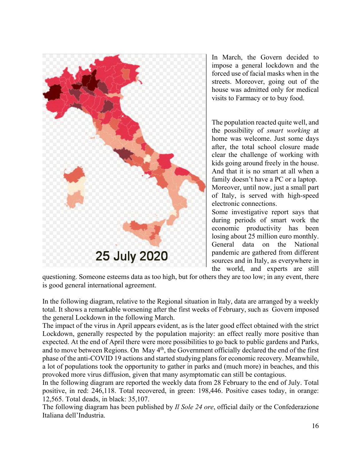

In March, the Govern decided to impose a general lockdown and the forced use of facial masks when in the streets. Moreover, going out of the house was admitted only for medical visits to Farmacy or to buy food.

The population reacted quite well, and the possibility of *smart working* at home was welcome. Just some days after, the total school closure made clear the challenge of working with kids going around freely in the house. And that it is no smart at all when a family doesn't have a PC or a laptop. Moreover, until now, just a small part of Italy, is served with high-speed electronic connections.

Some investigative report says that during periods of smart work the economic productivity has been losing about 25 million euro monthly. General data on the National pandemic are gathered from different sources and in Italy, as everywhere in the world, and experts are still

questioning. Someone esteems data as too high, but for others they are too low; in any event, there is good general international agreement.

In the following diagram, relative to the Regional situation in Italy, data are arranged by a weekly total. It shows a remarkable worsening after the first weeks of February, such as Govern imposed the general Lockdown in the following March.

The impact of the virus in April appears evident, as is the later good effect obtained with the strict Lockdown, generally respected by the population majority: an effect really more positive than expected. At the end of April there were more possibilities to go back to public gardens and Parks, and to move between Regions. On May 4<sup>th</sup>, the Government officially declared the end of the first phase of the anti-COVID 19 actions and started studying plans for economic recovery. Meanwhile, a lot of populations took the opportunity to gather in parks and (much more) in beaches, and this provoked more virus diffusion, given that many asymptomatic can still be contagious.

In the following diagram are reported the weekly data from 28 February to the end of July. Total positive, in red: 246,118. Total recovered, in green: 198,446. Positive cases today, in orange: 12,565. Total deads, in black: 35,107.

The following diagram has been published by *Il Sole 24 ore*, official daily or the Confederazione Italiana dell'Industria.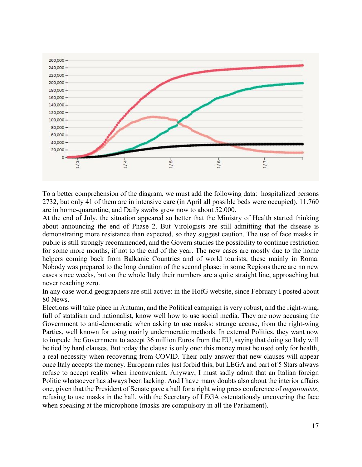

To a better comprehension of the diagram, we must add the following data: hospitalized persons 2732, but only 41 of them are in intensive care (in April all possible beds were occupied). 11.760 are in home-quarantine, and Daily swabs grew now to about 52.000.

At the end of July, the situation appeared so better that the Ministry of Health started thinking about announcing the end of Phase 2. But Virologists are still admitting that the disease is demonstrating more resistance than expected, so they suggest caution. The use of face masks in public is still strongly recommended, and the Govern studies the possibility to continue restriction for some more months, if not to the end of the year. The new cases are mostly due to the home helpers coming back from Balkanic Countries and of world tourists, these mainly in Roma. Nobody was prepared to the long duration of the second phase: in some Regions there are no new cases since weeks, but on the whole Italy their numbers are a quite straight line, approaching but never reaching zero.

In any case world geographers are still active: in the HofG website, since February I posted about 80 News.

Elections will take place in Autumn, and the Political campaign is very robust, and the right-wing, full of statalism and nationalist, know well how to use social media. They are now accusing the Government to anti-democratic when asking to use masks: strange accuse, from the right-wing Parties, well known for using mainly undemocratic methods. In external Politics, they want now to impede the Government to accept 36 million Euros from the EU, saying that doing so Italy will be tied by hard clauses. But today the clause is only one: this money must be used only for health, a real necessity when recovering from COVID. Their only answer that new clauses will appear once Italy accepts the money. European rules just forbid this, but LEGA and part of 5 Stars always refuse to accept reality when inconvenient. Anyway, I must sadly admit that an Italian foreign Politic whatsoever has always been lacking. And I have many doubts also about the interior affairs one, given that the President of Senate gave a hall for a right wing press conference of *negationists*, refusing to use masks in the hall, with the Secretary of LEGA ostentatiously uncovering the face when speaking at the microphone (masks are compulsory in all the Parliament).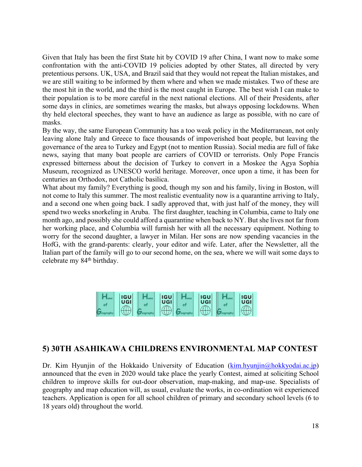Given that Italy has been the first State hit by COVID 19 after China, I want now to make some confrontation with the anti-COVID 19 policies adopted by other States, all directed by very pretentious persons. UK, USA, and Brazil said that they would not repeat the Italian mistakes, and we are still waiting to be informed by them where and when we made mistakes. Two of these are the most hit in the world, and the third is the most caught in Europe. The best wish I can make to their population is to be more careful in the next national elections. All of their Presidents, after some days in clinics, are sometimes wearing the masks, but always opposing lockdowns. When thy held electoral speeches, they want to have an audience as large as possible, with no care of masks.

By the way, the same European Community has a too weak policy in the Mediterranean, not only leaving alone Italy and Greece to face thousands of impoverished boat people, but leaving the governance of the area to Turkey and Egypt (not to mention Russia). Social media are full of fake news, saying that many boat people are carriers of COVID or terrorists. Only Pope Francis expressed bitterness about the decision of Turkey to convert in a Moskee the Agya Sophia Museum, recognized as UNESCO world heritage. Moreover, once upon a time, it has been for centuries an Orthodox, not Catholic basilica.

What about my family? Everything is good, though my son and his family, living in Boston, will not come to Italy this summer. The most realistic eventuality now is a quarantine arriving to Italy, and a second one when going back. I sadly approved that, with just half of the money, they will spend two weeks snorkeling in Aruba. The first daughter, teaching in Columbia, came to Italy one month ago, and possibly she could afford a quarantine when back to NY. But she lives not far from her working place, and Columbia will furnish her with all the necessary equipment. Nothing to worry for the second daughter, a lawyer in Milan. Her sons are now spending vacancies in the HofG, with the grand-parents: clearly, your editor and wife. Later, after the Newsletter, all the Italian part of the family will go to our second home, on the sea, where we will wait some days to celebrate my 84<sup>th</sup> birthday.

| <b>IGU</b><br>UGI | <b>IGU</b><br>UGI | <b>IGU</b><br>UGI | <b>IGU</b><br>UGI |
|-------------------|-------------------|-------------------|-------------------|
|                   |                   |                   |                   |

## **5) 30TH ASAHIKAWA CHILDRENS ENVIRONMENTAL MAP CONTEST**

Dr. Kim Hyunjin of the Hokkaido University of Education (kim.hyunjin@hokkyodai.ac.jp) announced that the even in 2020 would take place the yearly Contest, aimed at soliciting School children to improve skills for out-door observation, map-making, and map-use. Specialists of geography and map education will, as usual, evaluate the works, in co-ordination wit experienced teachers. Application is open for all school children of primary and secondary school levels (6 to 18 years old) throughout the world.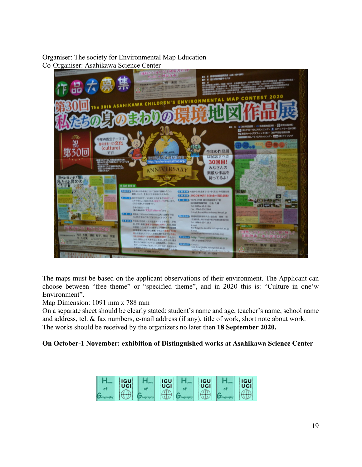### Organiser: The society for Environmental Map Education Co-Organiser: Asahikawa Science Center



The maps must be based on the applicant observations of their environment. The Applicant can choose between "free theme" or "specified theme", and in 2020 this is: "Culture in one'w Environment".

Map Dimension: 1091 mm x 788 mm

On a separate sheet should be clearly stated: student's name and age, teacher's name, school name and address, tel. & fax numbers, e-mail address (if any), title of work, short note about work. The works should be received by the organizers no later then **18 September 2020.**

## **On October-1 November: exhibition of Distinguished works at Asahikawa Science Center**

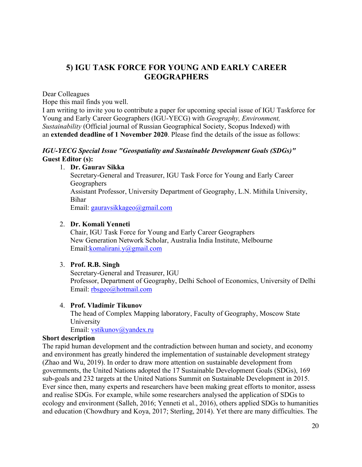## **5) IGU TASK FORCE FOR YOUNG AND EARLY CAREER GEOGRAPHERS**

Dear Colleagues

Hope this mail finds you well.

I am writing to invite you to contribute a paper for upcoming special issue of IGU Taskforce for Young and Early Career Geographers (IGU-YECG) with *Geography, Environment, Sustainability* (Official journal of Russian Geographical Society, Scopus Indexed) with an **extended deadline of 1 November 2020**. Please find the details of the issue as follows:

#### *IGU-YECG Special Issue "Geospatiality and Sustainable Development Goals (SDGs)"* **Guest Editor (s):**

### 1. **Dr. Gaurav Sikka**

Secretary-General and Treasurer, IGU Task Force for Young and Early Career Geographers Assistant Professor, University Department of Geography, L.N. Mithila University, Bihar Email: gauravsikkageo@gmail.com

#### 2. **Dr. Komali Yenneti**

Chair, IGU Task Force for Young and Early Career Geographers New Generation Network Scholar, Australia India Institute, Melbourne Email:komalirani.y@gmail.com

### 3. **Prof. R.B. Singh**

Secretary-General and Treasurer, IGU Professor, Department of Geography, Delhi School of Economics, University of Delhi Email: rbsgeo@hotmail.com

#### 4. **Prof. Vladimir Tikunov**

The head of Complex Mapping laboratory, Faculty of Geography, Moscow State University Email: vstikunov@yandex.ru

#### **Short description**

The rapid human development and the contradiction between human and society, and economy and environment has greatly hindered the implementation of sustainable development strategy (Zhao and Wu, 2019). In order to draw more attention on sustainable development from governments, the United Nations adopted the 17 Sustainable Development Goals (SDGs), 169 sub-goals and 232 targets at the United Nations Summit on Sustainable Development in 2015. Ever since then, many experts and researchers have been making great efforts to monitor, assess and realise SDGs. For example, while some researchers analysed the application of SDGs to ecology and environment (Salleh, 2016; Yenneti et al., 2016), others applied SDGs to humanities and education (Chowdhury and Koya, 2017; Sterling, 2014). Yet there are many difficulties. The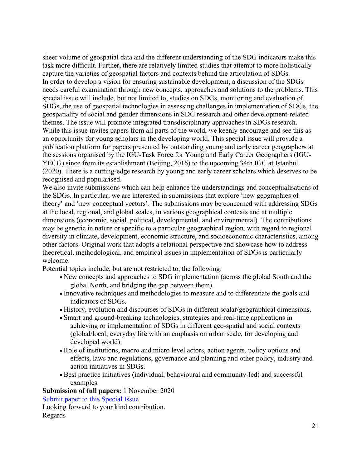sheer volume of geospatial data and the different understanding of the SDG indicators make this task more difficult. Further, there are relatively limited studies that attempt to more holistically capture the varieties of geospatial factors and contexts behind the articulation of SDGs. In order to develop a vision for ensuring sustainable development, a discussion of the SDGs needs careful examination through new concepts, approaches and solutions to the problems. This special issue will include, but not limited to, studies on SDGs, monitoring and evaluation of SDGs, the use of geospatial technologies in assessing challenges in implementation of SDGs, the geospatiality of social and gender dimensions in SDG research and other development-related themes. The issue will promote integrated transdisciplinary approaches in SDGs research. While this issue invites papers from all parts of the world, we keenly encourage and see this as an opportunity for young scholars in the developing world. This special issue will provide a publication platform for papers presented by outstanding young and early career geographers at the sessions organised by the IGU-Task Force for Young and Early Career Geographers (IGU-YECG) since from its establishment (Beijing, 2016) to the upcoming 34th IGC at Istanbul (2020). There is a cutting-edge research by young and early career scholars which deserves to be recognised and popularised.

We also invite submissions which can help enhance the understandings and conceptualisations of the SDGs. In particular, we are interested in submissions that explore 'new geographies of theory' and 'new conceptual vectors'. The submissions may be concerned with addressing SDGs at the local, regional, and global scales, in various geographical contexts and at multiple dimensions (economic, social, political, developmental, and environmental). The contributions may be generic in nature or specific to a particular geographical region, with regard to regional diversity in climate, development, economic structure, and socioeconomic characteristics, among other factors. Original work that adopts a relational perspective and showcase how to address theoretical, methodological, and empirical issues in implementation of SDGs is particularly welcome.

Potential topics include, but are not restricted to, the following:

- New concepts and approaches to SDG implementation (across the global South and the global North, and bridging the gap between them).
- Innovative techniques and methodologies to measure and to differentiate the goals and indicators of SDGs.
- History, evolution and discourses of SDGs in different scalar/geographical dimensions.
- Smart and ground-breaking technologies, strategies and real-time applications in achieving or implementation of SDGs in different geo-spatial and social contexts (global/local; everyday life with an emphasis on urban scale, for developing and developed world).
- Role of institutions, macro and micro level actors, action agents, policy options and effects, laws and regulations, governance and planning and other policy, industry and action initiatives in SDGs.
- Best practice initiatives (individual, behavioural and community-led) and successful examples.

**Submission of full papers:** 1 November 2020

Submit paper to this Special Issue

Looking forward to your kind contribution. Regards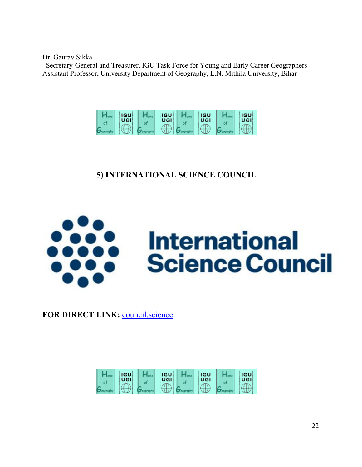Dr. Gaurav Sikka

Secretary-General and Treasurer, IGU Task Force for Young and Early Career Geographers Assistant Professor, University Department of Geography, L.N. Mithila University, Bihar



# **5) INTERNATIONAL SCIENCE COUNCIL**



FOR DIRECT LINK: **council.science** 

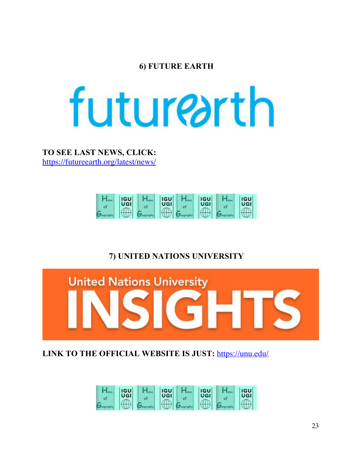## **6) FUTURE EARTH**



**TO SEE LAST NEWS, CLICK:** https://futureearth.org/latest/news/



# **7) UNITED NATIONS UNIVERSITY**



**LINK TO THE OFFICIAL WEBSITE IS JUST:** https://unu.edu/